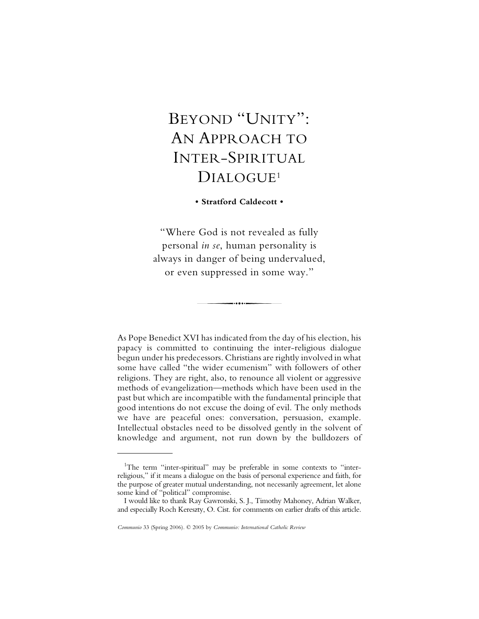# BEYOND "UNITY": AN APPROACH TO INTER-SPIRITUAL DIALOGUE<sup>1</sup>

# **• Stratford Caldecott •**

"Where God is not revealed as fully personal *in se*, human personality is always in danger of being undervalued, or even suppressed in some way."

As Pope Benedict XVI has indicated from the day of his election, his papacy is committed to continuing the inter-religious dialogue begun under his predecessors. Christians are rightly involved in what some have called "the wider ecumenism" with followers of other religions. They are right, also, to renounce all violent or aggressive methods of evangelization—methods which have been used in the past but which are incompatible with the fundamental principle that good intentions do not excuse the doing of evil. The only methods we have are peaceful ones: conversation, persuasion, example. Intellectual obstacles need to be dissolved gently in the solvent of knowledge and argument, not run down by the bulldozers of

<sup>&</sup>lt;sup>1</sup>The term "inter-spiritual" may be preferable in some contexts to "interreligious," if it means a dialogue on the basis of personal experience and faith, for the purpose of greater mutual understanding, not necessarily agreement, let alone some kind of "political" compromise.

I would like to thank Ray Gawronski, S. J., Timothy Mahoney, Adrian Walker, and especially Roch Kereszty, O. Cist. for comments on earlier drafts of this article.

*Communio* 33 (Spring 2006). © 2005 by *Communio: International Catholic Review*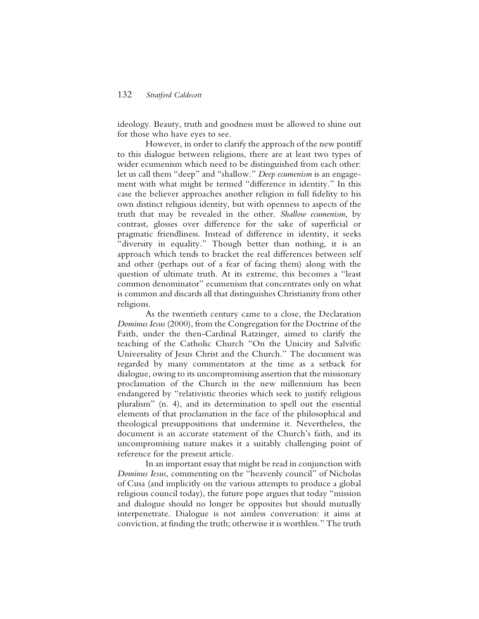ideology. Beauty, truth and goodness must be allowed to shine out for those who have eyes to see.

However, in order to clarify the approach of the new pontiff to this dialogue between religions, there are at least two types of wider ecumenism which need to be distinguished from each other: let us call them "deep" and "shallow." *Deep ecumenism* is an engagement with what might be termed "difference in identity." In this case the believer approaches another religion in full fidelity to his own distinct religious identity, but with openness to aspects of the truth that may be revealed in the other. *Shallow ecumenism*, by contrast, glosses over difference for the sake of superficial or pragmatic friendliness. Instead of difference in identity, it seeks "diversity in equality." Though better than nothing, it is an approach which tends to bracket the real differences between self and other (perhaps out of a fear of facing them) along with the question of ultimate truth. At its extreme, this becomes a "least common denominator" ecumenism that concentrates only on what is common and discards all that distinguishes Christianity from other religions.

As the twentieth century came to a close, the Declaration *Dominus Iesus* (2000), from the Congregation for the Doctrine of the Faith, under the then-Cardinal Ratzinger, aimed to clarify the teaching of the Catholic Church "On the Unicity and Salvific Universality of Jesus Christ and the Church." The document was regarded by many commentators at the time as a setback for dialogue, owing to its uncompromising assertion that the missionary proclamation of the Church in the new millennium has been endangered by "relativistic theories which seek to justify religious pluralism" (n. 4), and its determination to spell out the essential elements of that proclamation in the face of the philosophical and theological presuppositions that undermine it. Nevertheless, the document is an accurate statement of the Church's faith, and its uncompromising nature makes it a suitably challenging point of reference for the present article.

In an important essay that might be read in conjunction with *Dominus Iesus*, commenting on the "heavenly council" of Nicholas of Cusa (and implicitly on the various attempts to produce a global religious council today), the future pope argues that today "mission and dialogue should no longer be opposites but should mutually interpenetrate. Dialogue is not aimless conversation: it aims at conviction, at finding the truth; otherwise it is worthless." The truth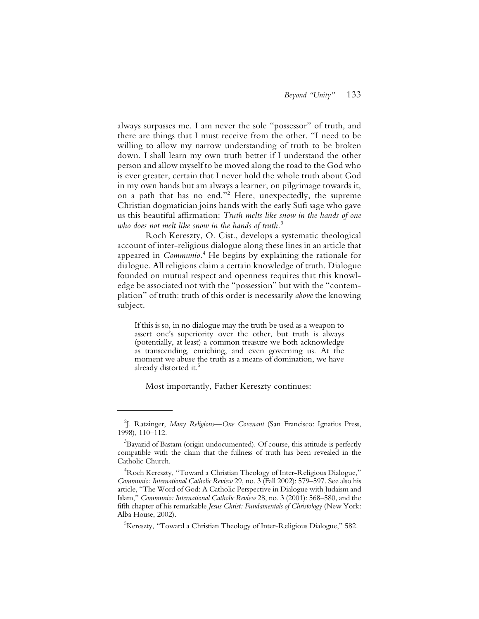always surpasses me. I am never the sole "possessor" of truth, and there are things that I must receive from the other. "I need to be willing to allow my narrow understanding of truth to be broken down. I shall learn my own truth better if I understand the other person and allow myself to be moved along the road to the God who is ever greater, certain that I never hold the whole truth about God in my own hands but am always a learner, on pilgrimage towards it, on a path that has no end."<sup>2</sup> Here, unexpectedly, the supreme Christian dogmatician joins hands with the early Sufi sage who gave us this beautiful affirmation: *Truth melts like snow in the hands of one who does not melt like snow in the hands of truth.*<sup>3</sup>

Roch Kereszty, O. Cist., develops a systematic theological account of inter-religious dialogue along these lines in an article that appeared in *Communio.*<sup>4</sup> He begins by explaining the rationale for dialogue. All religions claim a certain knowledge of truth. Dialogue founded on mutual respect and openness requires that this knowledge be associated not with the "possession" but with the "contemplation" of truth: truth of this order is necessarily *above* the knowing subject.

If this is so, in no dialogue may the truth be used as a weapon to assert one's superiority over the other, but truth is always (potentially, at least) a common treasure we both acknowledge as transcending, enriching, and even governing us. At the moment we abuse the truth as a means of domination, we have already distorted it.<sup>5</sup>

Most importantly, Father Kereszty continues:

<sup>2</sup> J. Ratzinger, *Many Religions—One Covenant* (San Francisco: Ignatius Press, 1998), 110–112.

 $^3$ Bayazid of Bastam (origin undocumented). Of course, this attitude is perfectly compatible with the claim that the fullness of truth has been revealed in the Catholic Church.

<sup>4</sup> Roch Kereszty, "Toward a Christian Theology of Inter-Religious Dialogue," *Communio: International Catholic Review* 29, no. 3 (Fall 2002): 579–597. See also his article, "The Word of God: A Catholic Perspective in Dialogue with Judaism and Islam," *Communio: International Catholic Review* 28, no. 3 (2001): 568–580, and the fifth chapter of his remarkable *Jesus Christ: Fundamentals of Christology* (New York: Alba House, 2002).

<sup>5</sup> Kereszty, "Toward a Christian Theology of Inter-Religious Dialogue," 582.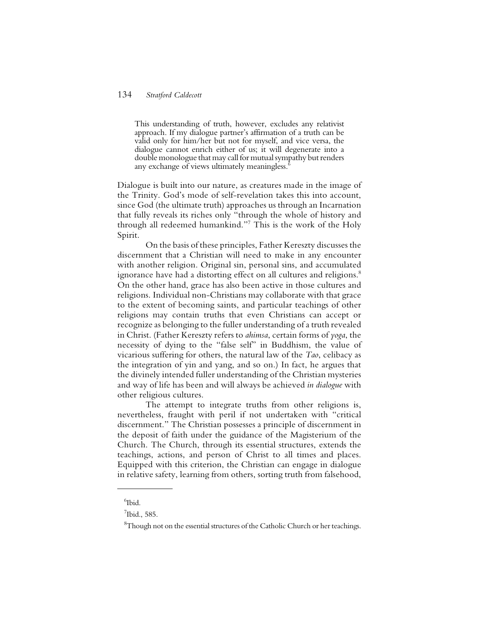This understanding of truth, however, excludes any relativist approach. If my dialogue partner's affirmation of a truth can be valid only for him/her but not for myself, and vice versa, the dialogue cannot enrich either of us; it will degenerate into a double monologue that may call for mutual sympathy but renders any exchange of views ultimately meaningless.<sup>6</sup>

Dialogue is built into our nature, as creatures made in the image of the Trinity. God's mode of self-revelation takes this into account, since God (the ultimate truth) approaches us through an Incarnation that fully reveals its riches only "through the whole of history and through all redeemed humankind."7 This is the work of the Holy Spirit.

On the basis of these principles, Father Kereszty discusses the discernment that a Christian will need to make in any encounter with another religion. Original sin, personal sins, and accumulated ignorance have had a distorting effect on all cultures and religions.<sup>8</sup> On the other hand, grace has also been active in those cultures and religions. Individual non-Christians may collaborate with that grace to the extent of becoming saints, and particular teachings of other religions may contain truths that even Christians can accept or recognize as belonging to the fuller understanding of a truth revealed in Christ. (Father Kereszty refers to *ahimsa*, certain forms of *yoga*, the necessity of dying to the "false self" in Buddhism, the value of vicarious suffering for others, the natural law of the *Tao*, celibacy as the integration of yin and yang, and so on.) In fact, he argues that the divinely intended fuller understanding of the Christian mysteries and way of life has been and will always be achieved *in dialogue* with other religious cultures.

The attempt to integrate truths from other religions is, nevertheless, fraught with peril if not undertaken with "critical discernment." The Christian possesses a principle of discernment in the deposit of faith under the guidance of the Magisterium of the Church. The Church, through its essential structures, extends the teachings, actions, and person of Christ to all times and places. Equipped with this criterion, the Christian can engage in dialogue in relative safety, learning from others, sorting truth from falsehood,

<sup>6</sup> Ibid.

 $<sup>7</sup>$ Ibid., 585.</sup>

 ${}^{8}\text{T}$ hough not on the essential structures of the Catholic Church or her teachings.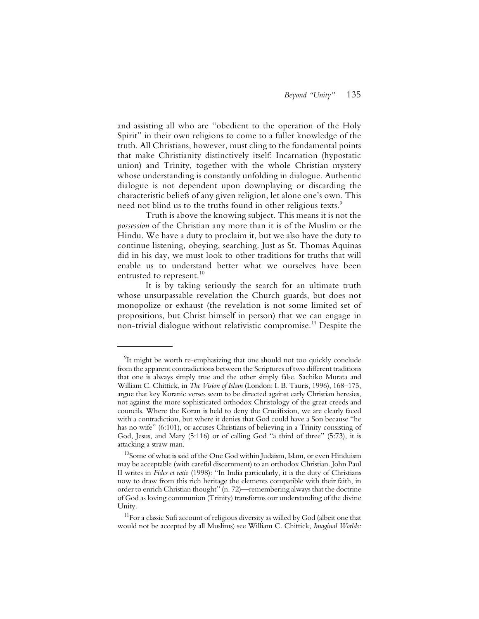and assisting all who are "obedient to the operation of the Holy Spirit" in their own religions to come to a fuller knowledge of the truth. All Christians, however, must cling to the fundamental points that make Christianity distinctively itself: Incarnation (hypostatic union) and Trinity, together with the whole Christian mystery whose understanding is constantly unfolding in dialogue. Authentic dialogue is not dependent upon downplaying or discarding the characteristic beliefs of any given religion, let alone one's own. This need not blind us to the truths found in other religious texts.<sup>9</sup>

Truth is above the knowing subject. This means it is not the *possession* of the Christian any more than it is of the Muslim or the Hindu. We have a duty to proclaim it, but we also have the duty to continue listening, obeying, searching. Just as St. Thomas Aquinas did in his day, we must look to other traditions for truths that will enable us to understand better what we ourselves have been entrusted to represent.<sup>10</sup>

It is by taking seriously the search for an ultimate truth whose unsurpassable revelation the Church guards, but does not monopolize or exhaust (the revelation is not some limited set of propositions, but Christ himself in person) that we can engage in non-trivial dialogue without relativistic compromise.<sup>11</sup> Despite the

 $9$ It might be worth re-emphasizing that one should not too quickly conclude from the apparent contradictions between the Scriptures of two different traditions that one is always simply true and the other simply false. Sachiko Murata and William C. Chittick, in *The Vision of Islam* (London: I. B. Tauris, 1996), 168–175, argue that key Koranic verses seem to be directed against early Christian heresies, not against the more sophisticated orthodox Christology of the great creeds and councils. Where the Koran is held to deny the Crucifixion, we are clearly faced with a contradiction, but where it denies that God could have a Son because "he has no wife" (6:101), or accuses Christians of believing in a Trinity consisting of God, Jesus, and Mary (5:116) or of calling God "a third of three" (5:73), it is attacking a straw man.

 $10$ Some of what is said of the One God within Judaism, Islam, or even Hinduism may be acceptable (with careful discernment) to an orthodox Christian. John Paul II writes in *Fides et ratio* (1998): "In India particularly, it is the duty of Christians now to draw from this rich heritage the elements compatible with their faith, in order to enrich Christian thought" (n. 72)—remembering always that the doctrine of God as loving communion (Trinity) transforms our understanding of the divine Unity.

 $11$ For a classic Sufi account of religious diversity as willed by God (albeit one that would not be accepted by all Muslims) see William C. Chittick, *Imaginal Worlds:*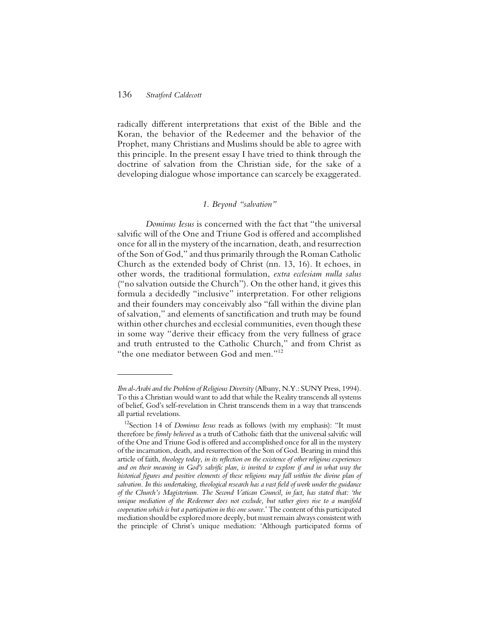radically different interpretations that exist of the Bible and the Koran, the behavior of the Redeemer and the behavior of the Prophet, many Christians and Muslims should be able to agree with this principle. In the present essay I have tried to think through the doctrine of salvation from the Christian side, for the sake of a developing dialogue whose importance can scarcely be exaggerated.

#### *1. Beyond "salvation"*

*Dominus Iesus* is concerned with the fact that "the universal salvific will of the One and Triune God is offered and accomplished once for all in the mystery of the incarnation, death, and resurrection of the Son of God," and thus primarily through the Roman Catholic Church as the extended body of Christ (nn. 13, 16). It echoes, in other words, the traditional formulation, *extra ecclesiam nulla salus* ("no salvation outside the Church"). On the other hand, it gives this formula a decidedly "inclusive" interpretation. For other religions and their founders may conceivably also "fall within the divine plan of salvation," and elements of sanctification and truth may be found within other churches and ecclesial communities, even though these in some way "derive their efficacy from the very fullness of grace and truth entrusted to the Catholic Church," and from Christ as "the one mediator between God and men."12

*Ibn al-Arabi and the Problem of Religious Diversity* (Albany, N.Y.: SUNY Press, 1994). To this a Christian would want to add that while the Reality transcends all systems of belief, God's self-revelation in Christ transcends them in a way that transcends all partial revelations.

<sup>&</sup>lt;sup>12</sup>Section 14 of *Dominus Iesus* reads as follows (with my emphasis): "It must therefore be *firmly believed* as a truth of Catholic faith that the universal salvific will of the One and Triune God is offered and accomplished once for all in the mystery of the incarnation, death, and resurrection of the Son of God. Bearing in mind this article of faith, *theology today, in its reflection on the existence of other religious experiences and on their meaning in God's salvific plan, is invited to explore if and in what way the historical figures and positive elements of these religions may fall within the divine plan of salvation. In this undertaking, theological research has a vast field of work under the guidance of the Church's Magisterium. The Second Vatican Council, in fact, has stated that: 'the unique mediation of the Redeemer does not exclude, but rather gives rise to a manifold cooperation which is but a participation in this one source*.' The content of this participated mediation should be explored more deeply, but must remain always consistent with the principle of Christ's unique mediation: 'Although participated forms of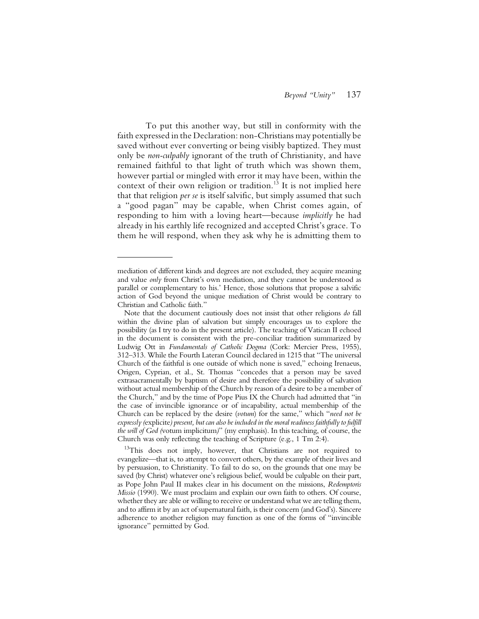To put this another way, but still in conformity with the faith expressed in the Declaration: non-Christians may potentially be saved without ever converting or being visibly baptized. They must only be *non-culpably* ignorant of the truth of Christianity, and have remained faithful to that light of truth which was shown them, however partial or mingled with error it may have been, within the context of their own religion or tradition.<sup>13</sup> It is not implied here that that religion *per se* is itself salvific, but simply assumed that such a "good pagan" may be capable, when Christ comes again, of responding to him with a loving heart—because *implicitly* he had already in his earthly life recognized and accepted Christ's grace. To them he will respond, when they ask why he is admitting them to

mediation of different kinds and degrees are not excluded, they acquire meaning and value *only* from Christ's own mediation, and they cannot be understood as parallel or complementary to his.' Hence, those solutions that propose a salvific action of God beyond the unique mediation of Christ would be contrary to Christian and Catholic faith."

Note that the document cautiously does not insist that other religions *do* fall within the divine plan of salvation but simply encourages us to explore the possibility (as I try to do in the present article). The teaching of Vatican II echoed in the document is consistent with the pre-conciliar tradition summarized by Ludwig Ott in *Fundamentals of Catholic Dogma* (Cork: Mercier Press, 1955), 312–313. While the Fourth Lateran Council declared in 1215 that "The universal Church of the faithful is one outside of which none is saved," echoing Irenaeus, Origen, Cyprian, et al., St. Thomas "concedes that a person may be saved extrasacramentally by baptism of desire and therefore the possibility of salvation without actual membership of the Church by reason of a desire to be a member of the Church," and by the time of Pope Pius IX the Church had admitted that "in the case of invincible ignorance or of incapability, actual membership of the Church can be replaced by the desire (*votum*) for the same," which "*need not be expressly (*explicite*) present, but can also be included in the moral readiness faithfully to fulfill the will of God (*votum implicitum*)*" (my emphasis). In this teaching, of course, the Church was only reflecting the teaching of Scripture (e.g., 1 Tm 2:4).

<sup>&</sup>lt;sup>13</sup>This does not imply, however, that Christians are not required to evangelize—that is, to attempt to convert others, by the example of their lives and by persuasion, to Christianity. To fail to do so, on the grounds that one may be saved (by Christ) whatever one's religious belief, would be culpable on their part, as Pope John Paul II makes clear in his document on the missions, *Redemptoris Missio* (1990). We must proclaim and explain our own faith to others. Of course, whether they are able or willing to receive or understand what we are telling them, and to affirm it by an act of supernatural faith, is their concern (and God's). Sincere adherence to another religion may function as one of the forms of "invincible ignorance" permitted by God.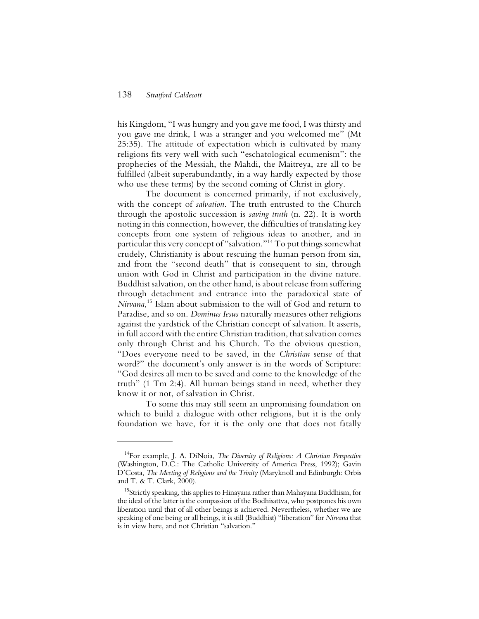his Kingdom, "I was hungry and you gave me food, I was thirsty and you gave me drink, I was a stranger and you welcomed me" (Mt 25:35). The attitude of expectation which is cultivated by many religions fits very well with such "eschatological ecumenism": the prophecies of the Messiah, the Mahdi, the Maitreya, are all to be fulfilled (albeit superabundantly, in a way hardly expected by those who use these terms) by the second coming of Christ in glory.

The document is concerned primarily, if not exclusively, with the concept of *salvation*. The truth entrusted to the Church through the apostolic succession is *saving truth* (n. 22). It is worth noting in this connection, however, the difficulties of translating key concepts from one system of religious ideas to another, and in particular this very concept of "salvation."14 To put things somewhat crudely, Christianity is about rescuing the human person from sin, and from the "second death" that is consequent to sin, through union with God in Christ and participation in the divine nature. Buddhist salvation, on the other hand, is about release from suffering through detachment and entrance into the paradoxical state of *Nirvana*, 15 Islam about submission to the will of God and return to Paradise, and so on. *Dominus Iesus* naturally measures other religions against the yardstick of the Christian concept of salvation. It asserts, in full accord with the entire Christian tradition, that salvation comes only through Christ and his Church. To the obvious question, "Does everyone need to be saved, in the *Christian* sense of that word?" the document's only answer is in the words of Scripture: "God desires all men to be saved and come to the knowledge of the truth" (1 Tm 2:4). All human beings stand in need, whether they know it or not, of salvation in Christ.

To some this may still seem an unpromising foundation on which to build a dialogue with other religions, but it is the only foundation we have, for it is the only one that does not fatally

<sup>14</sup>For example, J. A. DiNoia, *The Diversity of Religions: A Christian Perspective* (Washington, D.C.: The Catholic University of America Press, 1992); Gavin D'Costa, *The Meeting of Religions and the Trinity* (Maryknoll and Edinburgh: Orbis and T. & T. Clark, 2000).

<sup>&</sup>lt;sup>15</sup>Strictly speaking, this applies to Hinayana rather than Mahayana Buddhism, for the ideal of the latter is the compassion of the Bodhisattva, who postpones his own liberation until that of all other beings is achieved. Nevertheless, whether we are speaking of one being or all beings, it is still (Buddhist) "liberation" for *Nirvana* that is in view here, and not Christian "salvation."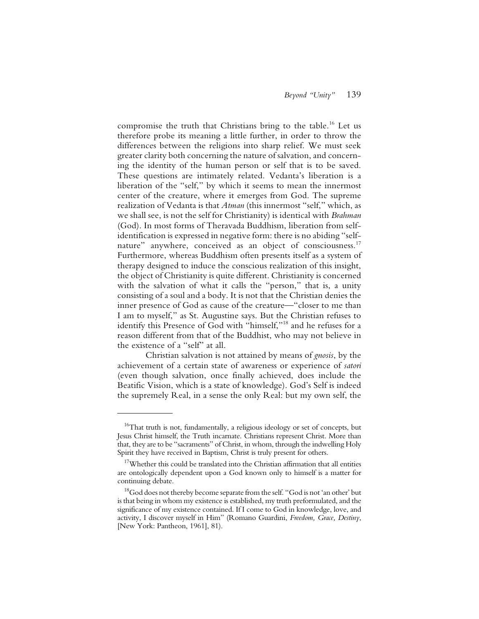compromise the truth that Christians bring to the table.16 Let us therefore probe its meaning a little further, in order to throw the differences between the religions into sharp relief. We must seek greater clarity both concerning the nature of salvation, and concerning the identity of the human person or self that is to be saved. These questions are intimately related. Vedanta's liberation is a liberation of the "self," by which it seems to mean the innermost center of the creature, where it emerges from God. The supreme realization of Vedanta is that *Atman* (this innermost "self," which, as we shall see, is not the self for Christianity) is identical with *Brahman* (God). In most forms of Theravada Buddhism, liberation from selfidentification is expressed in negative form: there is no abiding "selfnature" anywhere, conceived as an object of consciousness.<sup>17</sup> Furthermore, whereas Buddhism often presents itself as a system of therapy designed to induce the conscious realization of this insight, the object of Christianity is quite different. Christianity is concerned with the salvation of what it calls the "person," that is, a unity consisting of a soul and a body. It is not that the Christian denies the inner presence of God as cause of the creature—"closer to me than I am to myself," as St. Augustine says. But the Christian refuses to identify this Presence of God with "himself,"18 and he refuses for a reason different from that of the Buddhist, who may not believe in the existence of a "self" at all.

Christian salvation is not attained by means of *gnosis*, by the achievement of a certain state of awareness or experience of *satori* (even though salvation, once finally achieved, does include the Beatific Vision, which is a state of knowledge). God's Self is indeed the supremely Real, in a sense the only Real: but my own self, the

 $16$ That truth is not, fundamentally, a religious ideology or set of concepts, but Jesus Christ himself, the Truth incarnate. Christians represent Christ. More than that, they are to be "sacraments" of Christ, in whom, through the indwelling Holy Spirit they have received in Baptism, Christ is truly present for others.

 $17$ Whether this could be translated into the Christian affirmation that all entities are ontologically dependent upon a God known only to himself is a matter for continuing debate.

 $^{18}$ God does not thereby become separate from the self. "God is not 'an other' but is that being in whom my existence is established, my truth preformulated, and the significance of my existence contained. If I come to God in knowledge, love, and activity, I discover myself in Him" (Romano Guardini, *Freedom, Grace, Destiny*, [New York: Pantheon, 1961], 81).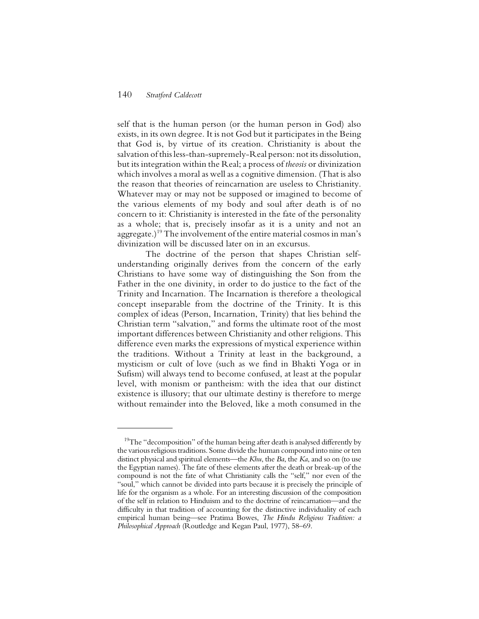self that is the human person (or the human person in God) also exists, in its own degree. It is not God but it participates in the Being that God is, by virtue of its creation. Christianity is about the salvation of this less-than-supremely-Real person: not its dissolution, but its integration within the Real; a process of *theosis* or divinization which involves a moral as well as a cognitive dimension. (That is also the reason that theories of reincarnation are useless to Christianity. Whatever may or may not be supposed or imagined to become of the various elements of my body and soul after death is of no concern to it: Christianity is interested in the fate of the personality as a whole; that is, precisely insofar as it is a unity and not an aggregate.)19 The involvement of the entire material cosmos in man's divinization will be discussed later on in an excursus.

The doctrine of the person that shapes Christian selfunderstanding originally derives from the concern of the early Christians to have some way of distinguishing the Son from the Father in the one divinity, in order to do justice to the fact of the Trinity and Incarnation. The Incarnation is therefore a theological concept inseparable from the doctrine of the Trinity. It is this complex of ideas (Person, Incarnation, Trinity) that lies behind the Christian term "salvation," and forms the ultimate root of the most important differences between Christianity and other religions. This difference even marks the expressions of mystical experience within the traditions. Without a Trinity at least in the background, a mysticism or cult of love (such as we find in Bhakti Yoga or in Sufism) will always tend to become confused, at least at the popular level, with monism or pantheism: with the idea that our distinct existence is illusory; that our ultimate destiny is therefore to merge without remainder into the Beloved, like a moth consumed in the

 $19$ The "decomposition" of the human being after death is analysed differently by the various religious traditions. Some divide the human compound into nine or ten distinct physical and spiritual elements—the *Khu*, the *Ba*, the *Ka*, and so on (to use the Egyptian names). The fate of these elements after the death or break-up of the compound is not the fate of what Christianity calls the "self," nor even of the "soul," which cannot be divided into parts because it is precisely the principle of life for the organism as a whole. For an interesting discussion of the composition of the self in relation to Hinduism and to the doctrine of reincarnation—and the difficulty in that tradition of accounting for the distinctive individuality of each empirical human being—see Pratima Bowes, *The Hindu Religious Tradition: a Philosophical Approach* (Routledge and Kegan Paul, 1977), 58–69.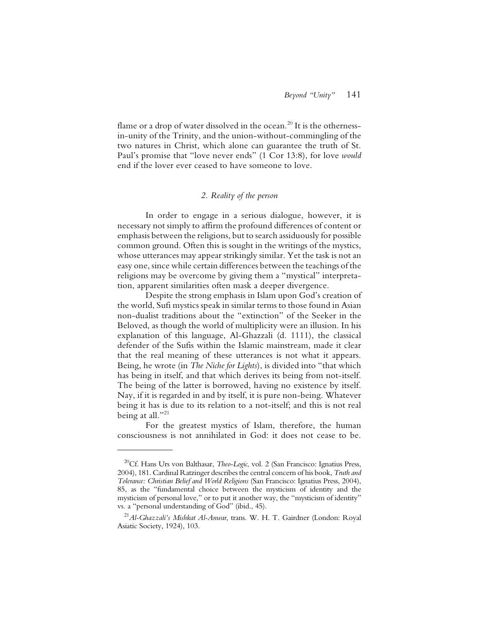flame or a drop of water dissolved in the ocean.<sup>20</sup> It is the othernessin-unity of the Trinity, and the union-without-commingling of the two natures in Christ, which alone can guarantee the truth of St. Paul's promise that "love never ends" (1 Cor 13:8), for love *would* end if the lover ever ceased to have someone to love.

# *2. Reality of the person*

In order to engage in a serious dialogue, however, it is necessary not simply to affirm the profound differences of content or emphasis between the religions, but to search assiduously for possible common ground. Often this is sought in the writings of the mystics, whose utterances may appear strikingly similar. Yet the task is not an easy one, since while certain differences between the teachings of the religions may be overcome by giving them a "mystical" interpretation, apparent similarities often mask a deeper divergence.

Despite the strong emphasis in Islam upon God's creation of the world, Sufi mystics speak in similar terms to those found in Asian non-dualist traditions about the "extinction" of the Seeker in the Beloved, as though the world of multiplicity were an illusion. In his explanation of this language, Al-Ghazzali (d. 1111), the classical defender of the Sufis within the Islamic mainstream, made it clear that the real meaning of these utterances is not what it appears. Being, he wrote (in *The Niche for Lights*), is divided into "that which has being in itself, and that which derives its being from not-itself. The being of the latter is borrowed, having no existence by itself. Nay, if it is regarded in and by itself, it is pure non-being. Whatever being it has is due to its relation to a not-itself; and this is not real being at all."<sup>21</sup>

For the greatest mystics of Islam, therefore, the human consciousness is not annihilated in God: it does not cease to be.

<sup>&</sup>lt;sup>20</sup>Cf. Hans Urs von Balthasar, *Theo-Logic*, vol. 2 (San Francisco: Ignatius Press, 2004), 181. Cardinal Ratzinger describes the central concern of his book, *Truth and Tolerance: Christian Belief and World Religions* (San Francisco: Ignatius Press, 2004), 85, as the "fundamental choice between the mysticism of identity and the mysticism of personal love," or to put it another way, the "mysticism of identity" vs*.* a "personal understanding of God" (ibid., 45).

<sup>21</sup>*Al-Ghazzali's Mishkat Al-Anwar*, trans. W. H. T. Gairdner (London: Royal Asiatic Society, 1924), 103.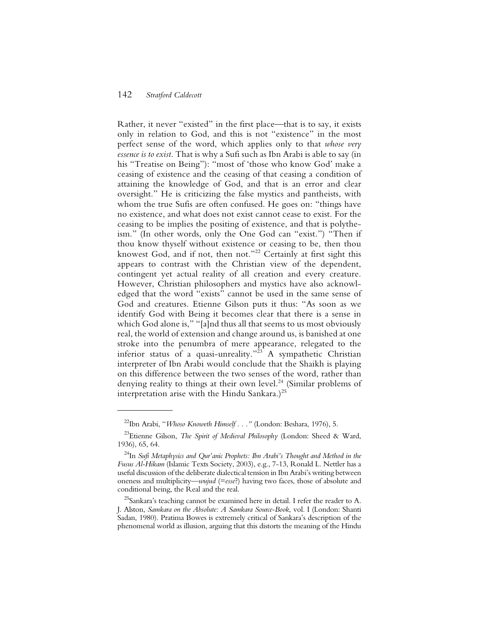Rather, it never "existed" in the first place—that is to say, it exists only in relation to God, and this is not "existence" in the most perfect sense of the word, which applies only to that *whose very essence is to exist*. That is why a Sufi such as Ibn Arabi is able to say (in his "Treatise on Being"): "most of 'those who know God' make a ceasing of existence and the ceasing of that ceasing a condition of attaining the knowledge of God, and that is an error and clear oversight." He is criticizing the false mystics and pantheists, with whom the true Sufis are often confused. He goes on: "things have no existence, and what does not exist cannot cease to exist. For the ceasing to be implies the positing of existence, and that is polytheism." (In other words, only the One God can "exist.") "Then if thou know thyself without existence or ceasing to be, then thou knowest God, and if not, then not."<sup>22</sup> Certainly at first sight this appears to contrast with the Christian view of the dependent, contingent yet actual reality of all creation and every creature. However, Christian philosophers and mystics have also acknowledged that the word "exists" cannot be used in the same sense of God and creatures. Etienne Gilson puts it thus: "As soon as we identify God with Being it becomes clear that there is a sense in which God alone is," "[a]nd thus all that seems to us most obviously real, the world of extension and change around us, is banished at one stroke into the penumbra of mere appearance, relegated to the inferior status of a quasi-unreality."<sup>23</sup> A sympathetic Christian interpreter of Ibn Arabi would conclude that the Shaikh is playing on this difference between the two senses of the word, rather than denying reality to things at their own level.<sup>24</sup> (Similar problems of interpretation arise with the Hindu Sankara.)<sup>25</sup>

<sup>22</sup>Ibn Arabi, "*Whoso Knoweth Himself . . ."* (London: Beshara, 1976), 5.

<sup>23</sup>Etienne Gilson, *The Spirit of Medieval Philosophy* (London: Sheed & Ward, 1936), 65, 64.

<sup>24</sup>In *Sufi Metaphysics and Qur'anic Prophets: Ibn Arabi's Thought and Method in the Fusus Al-Hikam* (Islamic Texts Society, 2003), e.g., 7-13, Ronald L. Nettler has a useful discussion of the deliberate dialectical tension in Ibn Arabi's writing between oneness and multiplicity—*wujud* (=*esse*?) having two faces, those of absolute and conditional being, the Real and the real.

<sup>&</sup>lt;sup>25</sup>Sankara's teaching cannot be examined here in detail. I refer the reader to A. J. Alston, *Samkara on the Absolute: A Samkara Source-Book*, vol. I (London: Shanti Sadan, 1980). Pratima Bowes is extremely critical of Sankara's description of the phenomenal world as illusion, arguing that this distorts the meaning of the Hindu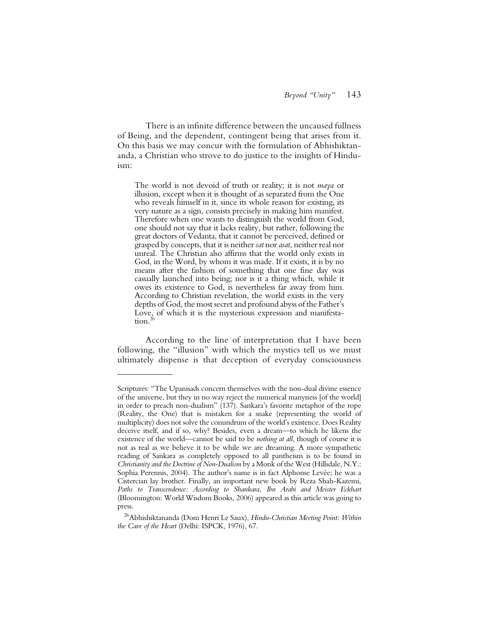There is an infinite difference between the uncaused fullness of Being, and the dependent, contingent being that arises from it. On this basis we may concur with the formulation of Abhishiktananda, a Christian who strove to do justice to the insights of Hinduism:

The world is not devoid of truth or reality; it is not *maya* or illusion, except when it is thought of as separated from the One who reveals himself in it, since its whole reason for existing, its very nature as a sign, consists precisely in making him manifest. Therefore when one wants to distinguish the world from God, one should not say that it lacks reality, but rather, following the great doctors of Vedanta, that it cannot be perceived, defined or grasped by concepts, that it is neither *sat* nor *asat*, neither real nor unreal. The Christian also affirms that the world only exists in God, in the Word, by whom it was made. If it exists, it is by no means after the fashion of something that one fine day was casually launched into being; nor is it a thing which, while it owes its existence to God, is nevertheless far away from him. According to Christian revelation, the world exists in the very depths of God, the most secret and profound abyss of the Father's Love, of which it is the mysterious expression and manifestation. $^{26}$ 

According to the line of interpretation that I have been following, the "illusion" with which the mystics tell us we must ultimately dispense is that deception of everyday consciousness

Scriptures: "The Upanisads concern themselves with the non-dual divine essence of the universe, but they in no way reject the numerical manyness [of the world] in order to preach non-dualism" (137). Sankara's favorite metaphor of the rope (Reality, the One) that is mistaken for a snake (representing the world of multiplicity) does not solve the conundrum of the world's existence. Does Reality deceive itself, and if so, why? Besides, even a dream—to which he likens the existence of the world—cannot be said to be *nothing at all*, though of course it is not as real as we believe it to be while we are dreaming. A more sympathetic reading of Sankara as completely opposed to all pantheism is to be found in *Christianity and the Doctrine of Non-Dualism* by a Monk of the West (Hillsdale, N.Y.: Sophia Perennis, 2004). The author's name is in fact Alphonse Levée; he was a Cistercian lay brother. Finally, an important new book by Reza Shah-Kazemi, *Paths to Transcendence: According to Shankara, Ibn Arabi and Meister Eckhart* (Bloomington: World Wisdom Books, 2006) appeared as this article was going to press.

<sup>26</sup>Abhishiktananda (Dom Henri Le Saux), *Hindu-Christian Meeting Point: Within the Cave of the Heart* (Delhi: ISPCK, 1976), 67.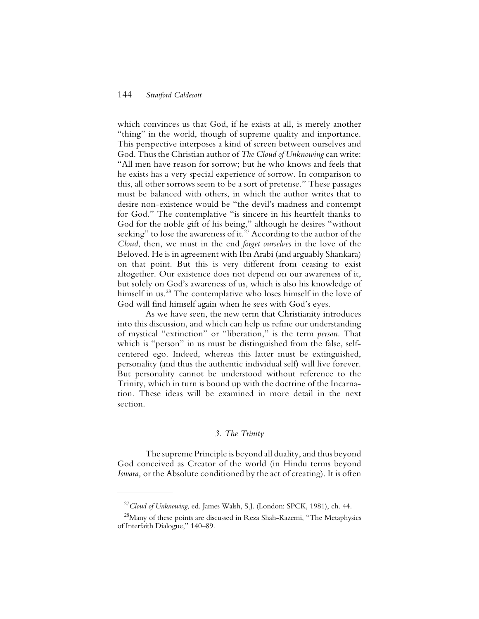which convinces us that God, if he exists at all, is merely another "thing" in the world, though of supreme quality and importance. This perspective interposes a kind of screen between ourselves and God. Thus the Christian author of *The Cloud of Unknowing* can write: "All men have reason for sorrow; but he who knows and feels that he exists has a very special experience of sorrow. In comparison to this, all other sorrows seem to be a sort of pretense." These passages must be balanced with others, in which the author writes that to desire non-existence would be "the devil's madness and contempt for God." The contemplative "is sincere in his heartfelt thanks to God for the noble gift of his being," although he desires "without seeking" to lose the awareness of it.<sup>27</sup> According to the author of the *Cloud*, then, we must in the end *forget ourselves* in the love of the Beloved. He is in agreement with Ibn Arabi (and arguably Shankara) on that point. But this is very different from ceasing to exist altogether. Our existence does not depend on our awareness of it, but solely on God's awareness of us, which is also his knowledge of himself in us.<sup>28</sup> The contemplative who loses himself in the love of God will find himself again when he sees with God's eyes.

As we have seen, the new term that Christianity introduces into this discussion, and which can help us refine our understanding of mystical "extinction" or "liberation," is the term *person*. That which is "person" in us must be distinguished from the false, selfcentered ego. Indeed, whereas this latter must be extinguished, personality (and thus the authentic individual self) will live forever. But personality cannot be understood without reference to the Trinity, which in turn is bound up with the doctrine of the Incarnation. These ideas will be examined in more detail in the next section.

# *3. The Trinity*

The supreme Principle is beyond all duality, and thus beyond God conceived as Creator of the world (in Hindu terms beyond *Iswara,* or the Absolute conditioned by the act of creating). It is often

<sup>27</sup>*Cloud of Unknowing*, ed. James Walsh, S.J. (London: SPCK, 1981), ch. 44.

 $^{28}$ Many of these points are discussed in Reza Shah-Kazemi, "The Metaphysics of Interfaith Dialogue," 140–89.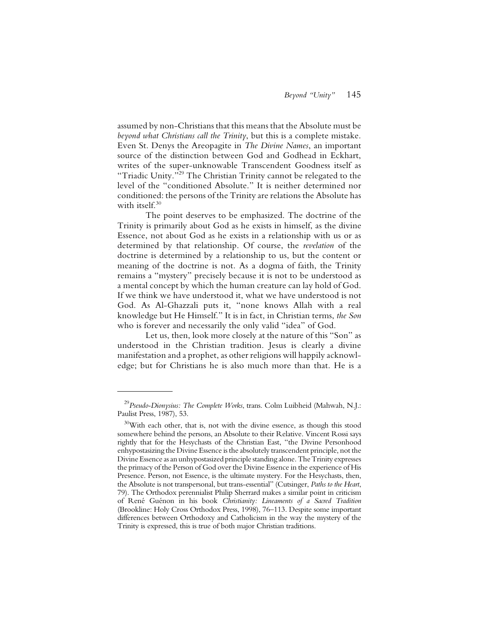assumed by non-Christians that this means that the Absolute must be *beyond what Christians call the Trinity*, but this is a complete mistake. Even St. Denys the Areopagite in *The Divine Names*, an important source of the distinction between God and Godhead in Eckhart, writes of the super-unknowable Transcendent Goodness itself as "Triadic Unity."<sup>29</sup> The Christian Trinity cannot be relegated to the level of the "conditioned Absolute." It is neither determined nor conditioned: the persons of the Trinity are relations the Absolute has with itself.<sup>30</sup>

The point deserves to be emphasized. The doctrine of the Trinity is primarily about God as he exists in himself, as the divine Essence, not about God as he exists in a relationship with us or as determined by that relationship. Of course, the *revelation* of the doctrine is determined by a relationship to us, but the content or meaning of the doctrine is not. As a dogma of faith, the Trinity remains a "mystery" precisely because it is not to be understood as a mental concept by which the human creature can lay hold of God. If we think we have understood it, what we have understood is not God. As Al-Ghazzali puts it, "none knows Allah with a real knowledge but He Himself." It is in fact, in Christian terms, *the Son* who is forever and necessarily the only valid "idea" of God.

Let us, then, look more closely at the nature of this "Son" as understood in the Christian tradition. Jesus is clearly a divine manifestation and a prophet, as other religions will happily acknowledge; but for Christians he is also much more than that. He is a

<sup>29</sup>*Pseudo-Dionysius: The Complete Works*, trans. Colm Luibheid (Mahwah, N.J.: Paulist Press, 1987), 53.

 $30$ With each other, that is, not with the divine essence, as though this stood somewhere behind the persons, an Absolute to their Relative. Vincent Rossi says rightly that for the Hesychasts of the Christian East, "the Divine Personhood enhypostasizing the Divine Essence is the absolutely transcendent principle, not the Divine Essence as an unhypostasized principle standing alone. The Trinity expresses the primacy of the Person of God over the Divine Essence in the experience of His Presence. Person, not Essence, is the ultimate mystery. For the Hesychasts, then, the Absolute is not transpersonal, but trans-essential" (Cutsinger, *Paths to the Heart*, 79). The Orthodox perennialist Philip Sherrard makes a similar point in criticism of René Guénon in his book *Christianity: Lineaments of a Sacred Tradition* (Brookline: Holy Cross Orthodox Press, 1998), 76–113. Despite some important differences between Orthodoxy and Catholicism in the way the mystery of the Trinity is expressed, this is true of both major Christian traditions.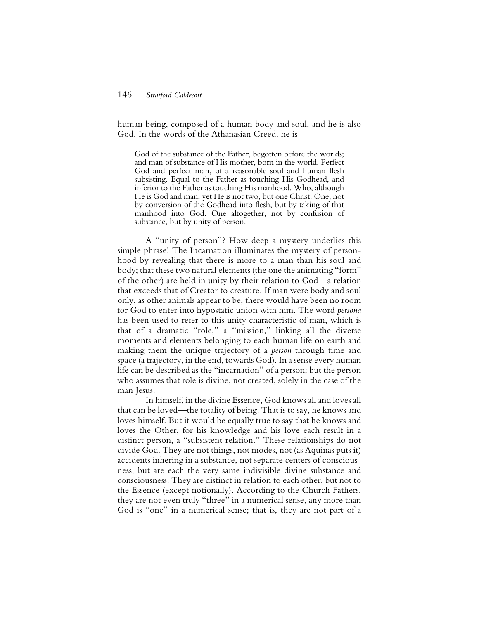human being, composed of a human body and soul, and he is also God. In the words of the Athanasian Creed, he is

God of the substance of the Father, begotten before the worlds; and man of substance of His mother, born in the world. Perfect God and perfect man, of a reasonable soul and human flesh subsisting. Equal to the Father as touching His Godhead, and inferior to the Father as touching His manhood. Who, although He is God and man, yet He is not two, but one Christ. One, not by conversion of the Godhead into flesh, but by taking of that manhood into God. One altogether, not by confusion of substance, but by unity of person.

A "unity of person"? How deep a mystery underlies this simple phrase! The Incarnation illuminates the mystery of personhood by revealing that there is more to a man than his soul and body; that these two natural elements (the one the animating "form" of the other) are held in unity by their relation to God—a relation that exceeds that of Creator to creature. If man were body and soul only, as other animals appear to be, there would have been no room for God to enter into hypostatic union with him. The word *persona* has been used to refer to this unity characteristic of man, which is that of a dramatic "role," a "mission," linking all the diverse moments and elements belonging to each human life on earth and making them the unique trajectory of a *person* through time and space (a trajectory, in the end, towards God). In a sense every human life can be described as the "incarnation" of a person; but the person who assumes that role is divine, not created, solely in the case of the man Jesus.

In himself, in the divine Essence, God knows all and loves all that can be loved—the totality of being. That is to say, he knows and loves himself. But it would be equally true to say that he knows and loves the Other, for his knowledge and his love each result in a distinct person, a "subsistent relation." These relationships do not divide God. They are not things, not modes, not (as Aquinas puts it) accidents inhering in a substance, not separate centers of consciousness, but are each the very same indivisible divine substance and consciousness. They are distinct in relation to each other, but not to the Essence (except notionally). According to the Church Fathers, they are not even truly "three" in a numerical sense, any more than God is "one" in a numerical sense; that is, they are not part of a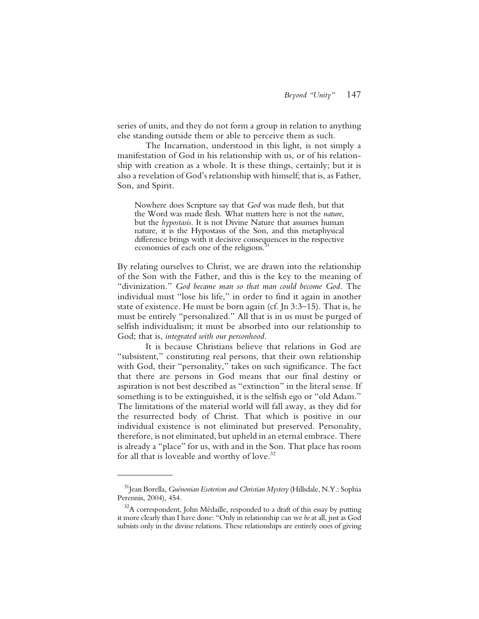series of units, and they do not form a group in relation to anything else standing outside them or able to perceive them as such.

The Incarnation, understood in this light, is not simply a manifestation of God in his relationship with us, or of his relationship with creation as a whole. It is these things, certainly; but it is also a revelation of God's relationship with himself; that is, as Father, Son, and Spirit.

Nowhere does Scripture say that *God* was made flesh, but that the Word was made flesh. What matters here is not the *nature*, but the *hypostasis*. It is not Divine Nature that assumes human nature, it is the Hypostasis of the Son, and this metaphysical difference brings with it decisive consequences in the respective economies of each one of the religions.<sup>3</sup>

By relating ourselves to Christ, we are drawn into the relationship of the Son with the Father, and this is the key to the meaning of "divinization." *God became man so that man could become God.* The individual must "lose his life," in order to find it again in another state of existence. He must be born again (cf. Jn 3:3–15). That is, he must be entirely "personalized." All that is in us must be purged of selfish individualism; it must be absorbed into our relationship to God; that is, *integrated with our personhood*.

It is because Christians believe that relations in God are "subsistent," constituting real persons, that their own relationship with God, their "personality," takes on such significance. The fact that there are persons in God means that our final destiny or aspiration is not best described as "extinction" in the literal sense. If something is to be extinguished, it is the selfish ego or "old Adam." The limitations of the material world will fall away, as they did for the resurrected body of Christ. That which is positive in our individual existence is not eliminated but preserved. Personality, therefore, is not eliminated, but upheld in an eternal embrace. There is already a "place" for us, with and in the Son. That place has room for all that is loveable and worthy of love.<sup>32</sup>

<sup>31</sup>Jean Borella, *Guénonian Esoterism and Christian Mystery* (Hillsdale, N.Y.: Sophia Perennis, 2004), 454.

 $32A$  correspondent, John Médaille, responded to a draft of this essay by putting it more clearly than I have done: "Only in relationship can we *be* at all, just as God subsists only in the divine relations. These relationships are entirely ones of giving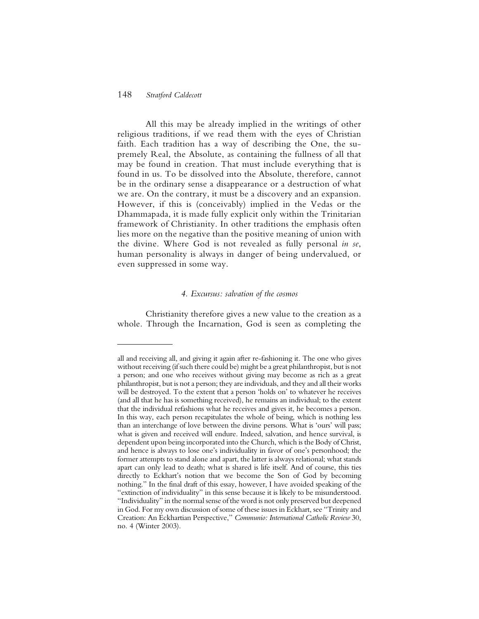All this may be already implied in the writings of other religious traditions, if we read them with the eyes of Christian faith. Each tradition has a way of describing the One, the supremely Real, the Absolute, as containing the fullness of all that may be found in creation. That must include everything that is found in us. To be dissolved into the Absolute, therefore, cannot be in the ordinary sense a disappearance or a destruction of what we are. On the contrary, it must be a discovery and an expansion. However, if this is (conceivably) implied in the Vedas or the Dhammapada, it is made fully explicit only within the Trinitarian framework of Christianity. In other traditions the emphasis often lies more on the negative than the positive meaning of union with the divine. Where God is not revealed as fully personal *in se*, human personality is always in danger of being undervalued, or even suppressed in some way.

# *4. Excursus: salvation of the cosmos*

Christianity therefore gives a new value to the creation as a whole. Through the Incarnation, God is seen as completing the

all and receiving all, and giving it again after re-fashioning it. The one who gives without receiving (if such there could be) might be a great philanthropist, but is not a person; and one who receives without giving may become as rich as a great philanthropist, but is not a person; they are individuals, and they and all their works will be destroyed. To the extent that a person 'holds on' to whatever he receives (and all that he has is something received), he remains an individual; to the extent that the individual refashions what he receives and gives it, he becomes a person. In this way, each person recapitulates the whole of being, which is nothing less than an interchange of love between the divine persons. What is 'ours' will pass; what is given and received will endure. Indeed, salvation, and hence survival, is dependent upon being incorporated into the Church, which is the Body of Christ, and hence is always to lose one's individuality in favor of one's personhood; the former attempts to stand alone and apart, the latter is always relational; what stands apart can only lead to death; what is shared is life itself. And of course, this ties directly to Eckhart's notion that we become the Son of God by becoming nothing." In the final draft of this essay, however, I have avoided speaking of the "extinction of individuality" in this sense because it is likely to be misunderstood. "Individuality" in the normal sense of the word is not only preserved but deepened in God. For my own discussion of some of these issues in Eckhart, see "Trinity and Creation: An Eckhartian Perspective," *Communio: International Catholic Review* 30, no. 4 (Winter 2003).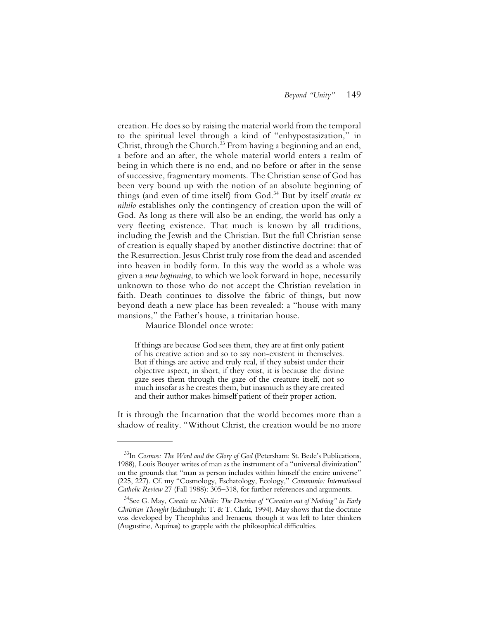creation. He does so by raising the material world from the temporal to the spiritual level through a kind of "enhypostasization," in Christ, through the Church.<sup>33</sup> From having a beginning and an end, a before and an after, the whole material world enters a realm of being in which there is no end, and no before or after in the sense of successive, fragmentary moments. The Christian sense of God has been very bound up with the notion of an absolute beginning of things (and even of time itself) from God.34 But by itself *creatio ex nihilo* establishes only the contingency of creation upon the will of God. As long as there will also be an ending, the world has only a very fleeting existence. That much is known by all traditions, including the Jewish and the Christian. But the full Christian sense of creation is equally shaped by another distinctive doctrine: that of the Resurrection. Jesus Christ truly rose from the dead and ascended into heaven in bodily form. In this way the world as a whole was given a *new beginning*, to which we look forward in hope, necessarily unknown to those who do not accept the Christian revelation in faith. Death continues to dissolve the fabric of things, but now beyond death a new place has been revealed: a "house with many mansions," the Father's house, a trinitarian house.

Maurice Blondel once wrote:

If things are because God sees them, they are at first only patient of his creative action and so to say non-existent in themselves. But if things are active and truly real, if they subsist under their objective aspect, in short, if they exist, it is because the divine gaze sees them through the gaze of the creature itself, not so much insofar as he creates them, but inasmuch as they are created and their author makes himself patient of their proper action.

It is through the Incarnation that the world becomes more than a shadow of reality. "Without Christ, the creation would be no more

<sup>33</sup>In *Cosmos: The Word and the Glory of God* (Petersham: St. Bede's Publications, 1988), Louis Bouyer writes of man as the instrument of a "universal divinization" on the grounds that "man as person includes within himself the entire universe" (225, 227). Cf. my "Cosmology, Eschatology, Ecology," *Communio: International Catholic Review* 27 (Fall 1988): 305–318, for further references and arguments.

<sup>34</sup>See G. May, *Creatio ex Nihilo: The Doctrine of "Creation out of Nothing" in Early Christian Thought* (Edinburgh: T. & T. Clark, 1994). May shows that the doctrine was developed by Theophilus and Irenaeus, though it was left to later thinkers (Augustine, Aquinas) to grapple with the philosophical difficulties.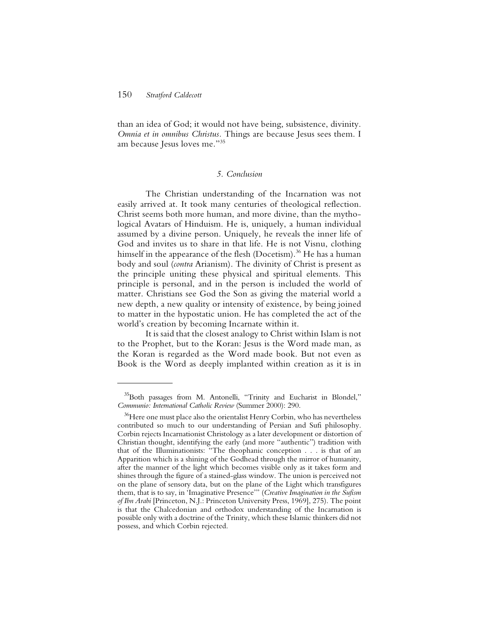than an idea of God; it would not have being, subsistence, divinity. *Omnia et in omnibus Christus.* Things are because Jesus sees them. I am because Jesus loves me."35

#### *5. Conclusion*

The Christian understanding of the Incarnation was not easily arrived at. It took many centuries of theological reflection. Christ seems both more human, and more divine, than the mythological Avatars of Hinduism. He is, uniquely, a human individual assumed by a divine person. Uniquely, he reveals the inner life of God and invites us to share in that life. He is not Visnu, clothing himself in the appearance of the flesh (Docetism).<sup>36</sup> He has a human body and soul (*contra* Arianism). The divinity of Christ is present as the principle uniting these physical and spiritual elements. This principle is personal, and in the person is included the world of matter. Christians see God the Son as giving the material world a new depth, a new quality or intensity of existence, by being joined to matter in the hypostatic union. He has completed the act of the world's creation by becoming Incarnate within it.

It is said that the closest analogy to Christ within Islam is not to the Prophet, but to the Koran: Jesus is the Word made man, as the Koran is regarded as the Word made book. But not even as Book is the Word as deeply implanted within creation as it is in

<sup>&</sup>lt;sup>35</sup>Both passages from M. Antonelli, "Trinity and Eucharist in Blondel," *Communio: International Catholic Review* (Summer 2000): 290.

<sup>&</sup>lt;sup>36</sup>Here one must place also the orientalist Henry Corbin, who has nevertheless contributed so much to our understanding of Persian and Sufi philosophy. Corbin rejects Incarnationist Christology as a later development or distortion of Christian thought, identifying the early (and more "authentic") tradition with that of the Illuminationists: "The theophanic conception . . . is that of an Apparition which is a shining of the Godhead through the mirror of humanity, after the manner of the light which becomes visible only as it takes form and shines through the figure of a stained-glass window. The union is perceived not on the plane of sensory data, but on the plane of the Light which transfigures them, that is to say, in 'Imaginative Presence'" (*Creative Imagination in the Sufism of Ibn Arabi* [Princeton, N.J.: Princeton University Press, 1969], 275). The point is that the Chalcedonian and orthodox understanding of the Incarnation is possible only with a doctrine of the Trinity, which these Islamic thinkers did not possess, and which Corbin rejected.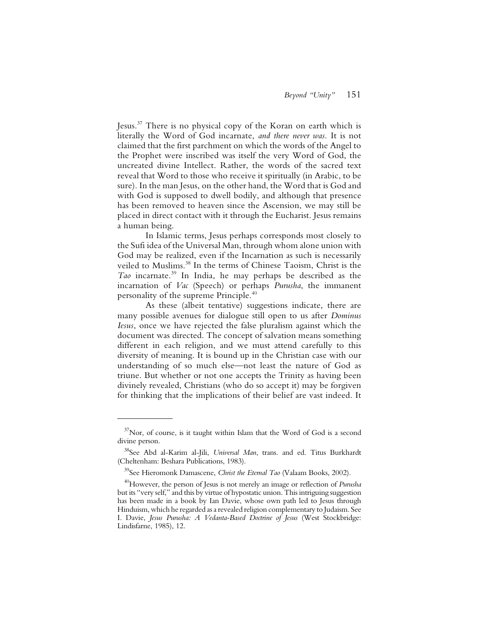Jesus.37 There is no physical copy of the Koran on earth which is literally the Word of God incarnate, *and there never was*. It is not claimed that the first parchment on which the words of the Angel to the Prophet were inscribed was itself the very Word of God, the uncreated divine Intellect. Rather, the words of the sacred text reveal that Word to those who receive it spiritually (in Arabic, to be sure). In the man Jesus, on the other hand, the Word that is God and with God is supposed to dwell bodily, and although that presence has been removed to heaven since the Ascension, we may still be placed in direct contact with it through the Eucharist. Jesus remains a human being.

In Islamic terms, Jesus perhaps corresponds most closely to the Sufi idea of the Universal Man, through whom alone union with God may be realized, even if the Incarnation as such is necessarily veiled to Muslims.38 In the terms of Chinese Taoism, Christ is the *Tao* incarnate.39 In India, he may perhaps be described as the incarnation of *Vac* (Speech) or perhaps *Purusha*, the immanent personality of the supreme Principle.40

As these (albeit tentative) suggestions indicate, there are many possible avenues for dialogue still open to us after *Dominus Iesus*, once we have rejected the false pluralism against which the document was directed. The concept of salvation means something different in each religion, and we must attend carefully to this diversity of meaning. It is bound up in the Christian case with our understanding of so much else—not least the nature of God as triune. But whether or not one accepts the Trinity as having been divinely revealed, Christians (who do so accept it) may be forgiven for thinking that the implications of their belief are vast indeed. It

 $37$ Nor, of course, is it taught within Islam that the Word of God is a second divine person.

<sup>38</sup>See Abd al-Karim al-Jili, *Universal Man*, trans. and ed. Titus Burkhardt (Cheltenham: Beshara Publications, 1983).

<sup>39</sup>See Hieromonk Damascene, *Christ the Eternal Tao* (Valaam Books, 2002).

<sup>40</sup>However, the person of Jesus is not merely an image or reflection of *Purusha* but its "very self," and this by virtue of hypostatic union. This intriguing suggestion has been made in a book by Ian Davie, whose own path led to Jesus through Hinduism, which he regarded as a revealed religion complementary to Judaism. See I. Davie, *Jesus Purusha: A Vedanta-Based Doctrine of Jesus* (West Stockbridge: Lindisfarne, 1985), 12.